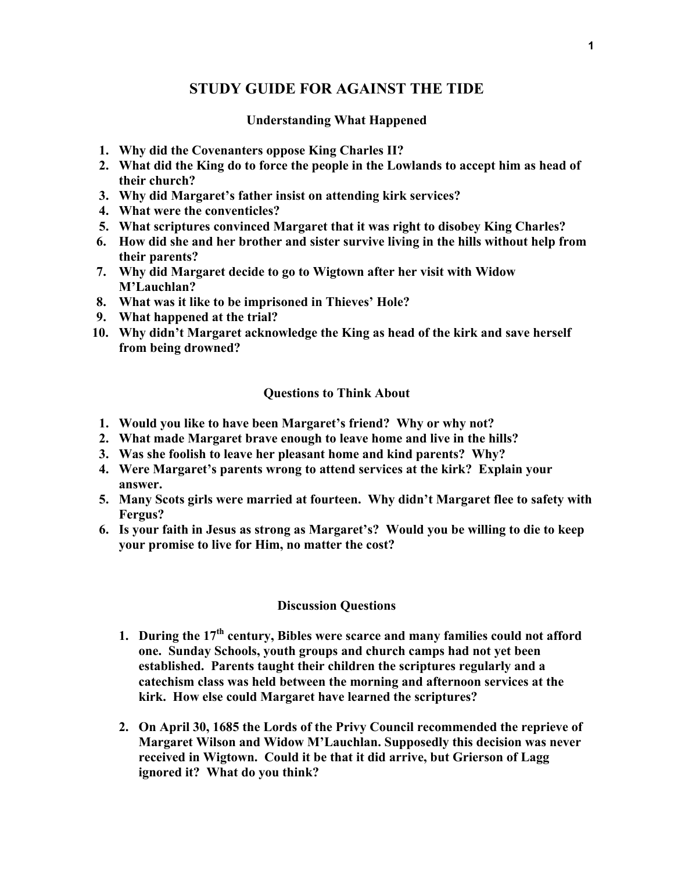### **STUDY GUIDE FOR AGAINST THE TIDE**

#### **Understanding What Happened**

- **1. Why did the Covenanters oppose King Charles II?**
- **2. What did the King do to force the people in the Lowlands to accept him as head of their church?**
- **3. Why did Margaret's father insist on attending kirk services?**
- **4. What were the conventicles?**
- **5. What scriptures convinced Margaret that it was right to disobey King Charles?**
- **6. How did she and her brother and sister survive living in the hills without help from their parents?**
- **7. Why did Margaret decide to go to Wigtown after her visit with Widow M'Lauchlan?**
- **8. What was it like to be imprisoned in Thieves' Hole?**
- **9. What happened at the trial?**
- **10. Why didn't Margaret acknowledge the King as head of the kirk and save herself from being drowned?**

#### **Questions to Think About**

- **1. Would you like to have been Margaret's friend? Why or why not?**
- **2. What made Margaret brave enough to leave home and live in the hills?**
- **3. Was she foolish to leave her pleasant home and kind parents? Why?**
- **4. Were Margaret's parents wrong to attend services at the kirk? Explain your answer.**
- **5. Many Scots girls were married at fourteen. Why didn't Margaret flee to safety with Fergus?**
- **6. Is your faith in Jesus as strong as Margaret's? Would you be willing to die to keep your promise to live for Him, no matter the cost?**

#### **Discussion Questions**

- **1. During the 17th century, Bibles were scarce and many families could not afford one. Sunday Schools, youth groups and church camps had not yet been established. Parents taught their children the scriptures regularly and a catechism class was held between the morning and afternoon services at the kirk. How else could Margaret have learned the scriptures?**
- **2. On April 30, 1685 the Lords of the Privy Council recommended the reprieve of Margaret Wilson and Widow M'Lauchlan. Supposedly this decision was never received in Wigtown. Could it be that it did arrive, but Grierson of Lagg ignored it? What do you think?**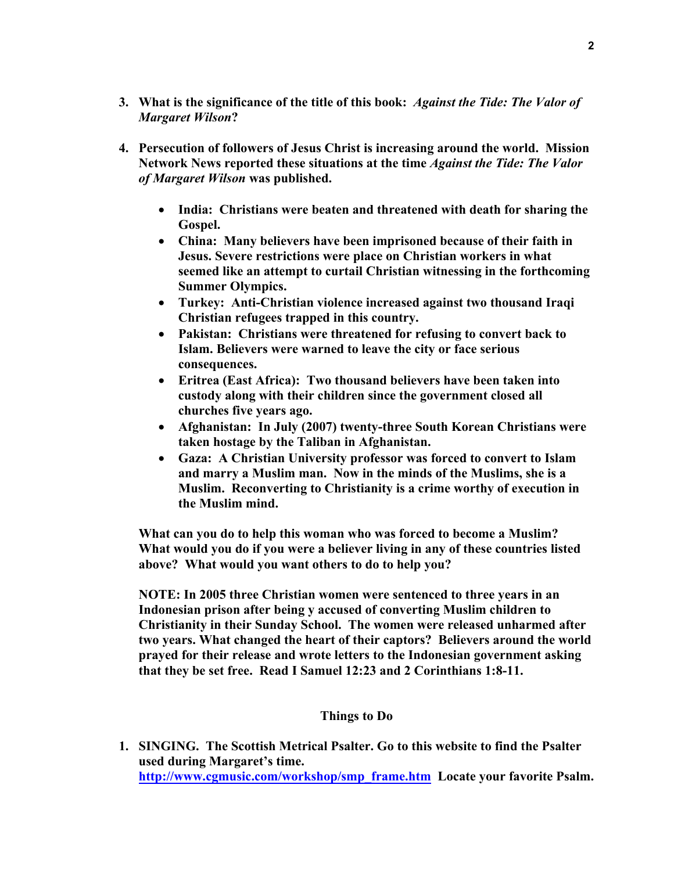- **3. What is the significance of the title of this book:** *Against the Tide: The Valor of Margaret Wilson***?**
- **4. Persecution of followers of Jesus Christ is increasing around the world. Mission Network News reported these situations at the time** *Against the Tide: The Valor of Margaret Wilson* **was published.** 
	- **India: Christians were beaten and threatened with death for sharing the Gospel.**
	- **China: Many believers have been imprisoned because of their faith in Jesus. Severe restrictions were place on Christian workers in what seemed like an attempt to curtail Christian witnessing in the forthcoming Summer Olympics.**
	- **Turkey: Anti-Christian violence increased against two thousand Iraqi Christian refugees trapped in this country.**
	- **Pakistan: Christians were threatened for refusing to convert back to Islam. Believers were warned to leave the city or face serious consequences.**
	- **Eritrea (East Africa): Two thousand believers have been taken into custody along with their children since the government closed all churches five years ago.**
	- **Afghanistan: In July (2007) twenty-three South Korean Christians were taken hostage by the Taliban in Afghanistan.**
	- **Gaza: A Christian University professor was forced to convert to Islam and marry a Muslim man. Now in the minds of the Muslims, she is a Muslim. Reconverting to Christianity is a crime worthy of execution in the Muslim mind.**

**What can you do to help this woman who was forced to become a Muslim? What would you do if you were a believer living in any of these countries listed above? What would you want others to do to help you?** 

**NOTE: In 2005 three Christian women were sentenced to three years in an Indonesian prison after being y accused of converting Muslim children to Christianity in their Sunday School. The women were released unharmed after two years. What changed the heart of their captors? Believers around the world prayed for their release and wrote letters to the Indonesian government asking that they be set free. Read I Samuel 12:23 and 2 Corinthians 1:8-11.** 

#### **Things to Do**

**1. SINGING. The Scottish Metrical Psalter. Go to this website to find the Psalter used during Margaret's time. http://www.cgmusic.com/workshop/smp\_frame.htm Locate your favorite Psalm.**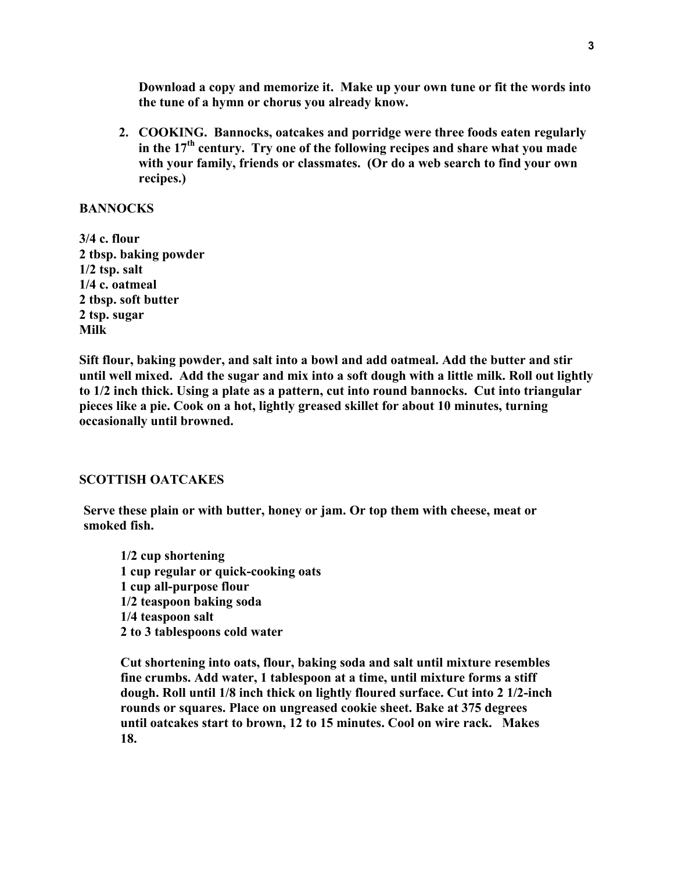**Download a copy and memorize it. Make up your own tune or fit the words into the tune of a hymn or chorus you already know.** 

**2. COOKING. Bannocks, oatcakes and porridge were three foods eaten regularly**  in the 17<sup>th</sup> century. Try one of the following recipes and share what you made **with your family, friends or classmates. (Or do a web search to find your own recipes.)** 

#### **BANNOCKS**

**3/4 c. flour 2 tbsp. baking powder 1/2 tsp. salt 1/4 c. oatmeal 2 tbsp. soft butter 2 tsp. sugar Milk** 

**Sift flour, baking powder, and salt into a bowl and add oatmeal. Add the butter and stir until well mixed. Add the sugar and mix into a soft dough with a little milk. Roll out lightly to 1/2 inch thick. Using a plate as a pattern, cut into round bannocks. Cut into triangular pieces like a pie. Cook on a hot, lightly greased skillet for about 10 minutes, turning occasionally until browned.** 

#### **SCOTTISH OATCAKES**

**Serve these plain or with butter, honey or jam. Or top them with cheese, meat or smoked fish.** 

**1/2 cup shortening 1 cup regular or quick-cooking oats 1 cup all-purpose flour 1/2 teaspoon baking soda 1/4 teaspoon salt 2 to 3 tablespoons cold water** 

**Cut shortening into oats, flour, baking soda and salt until mixture resembles fine crumbs. Add water, 1 tablespoon at a time, until mixture forms a stiff dough. Roll until 1/8 inch thick on lightly floured surface. Cut into 2 1/2-inch rounds or squares. Place on ungreased cookie sheet. Bake at 375 degrees until oatcakes start to brown, 12 to 15 minutes. Cool on wire rack. Makes 18.**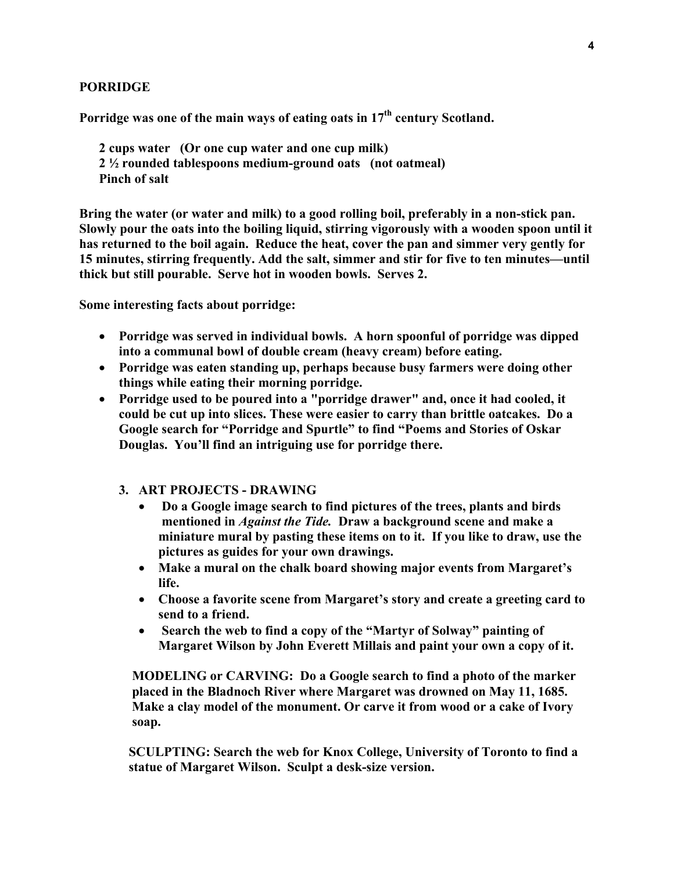#### **PORRIDGE**

Porridge was one of the main ways of eating oats in 17<sup>th</sup> century Scotland.

**2 cups water (Or one cup water and one cup milk) 2 ½ rounded tablespoons medium-ground oats (not oatmeal) Pinch of salt** 

**Bring the water (or water and milk) to a good rolling boil, preferably in a non-stick pan. Slowly pour the oats into the boiling liquid, stirring vigorously with a wooden spoon until it has returned to the boil again. Reduce the heat, cover the pan and simmer very gently for 15 minutes, stirring frequently. Add the salt, simmer and stir for five to ten minutes—until thick but still pourable. Serve hot in wooden bowls. Serves 2.** 

**Some interesting facts about porridge:** 

- **Porridge was served in individual bowls. A horn spoonful of porridge was dipped into a communal bowl of double cream (heavy cream) before eating.**
- **Porridge was eaten standing up, perhaps because busy farmers were doing other things while eating their morning porridge.**
- **Porridge used to be poured into a "porridge drawer" and, once it had cooled, it could be cut up into slices. These were easier to carry than brittle oatcakes. Do a Google search for "Porridge and Spurtle" to find "Poems and Stories of Oskar Douglas. You'll find an intriguing use for porridge there.** 
	- **3. ART PROJECTS DRAWING** 
		- • **Do a Google image search to find pictures of the trees, plants and birds mentioned in** *Against the Tide.* **Draw a background scene and make a miniature mural by pasting these items on to it. If you like to draw, use the pictures as guides for your own drawings.**
		- **Make a mural on the chalk board showing major events from Margaret's life.**
		- **Choose a favorite scene from Margaret's story and create a greeting card to send to a friend.**
		- • **Search the web to find a copy of the "Martyr of Solway" painting of Margaret Wilson by John Everett Millais and paint your own a copy of it.**

 **MODELING or CARVING: Do a Google search to find a photo of the marker placed in the Bladnoch River where Margaret was drowned on May 11, 1685. Make a clay model of the monument. Or carve it from wood or a cake of Ivory soap.** 

 **SCULPTING: Search the web for Knox College, University of Toronto to find a statue of Margaret Wilson. Sculpt a desk-size version.**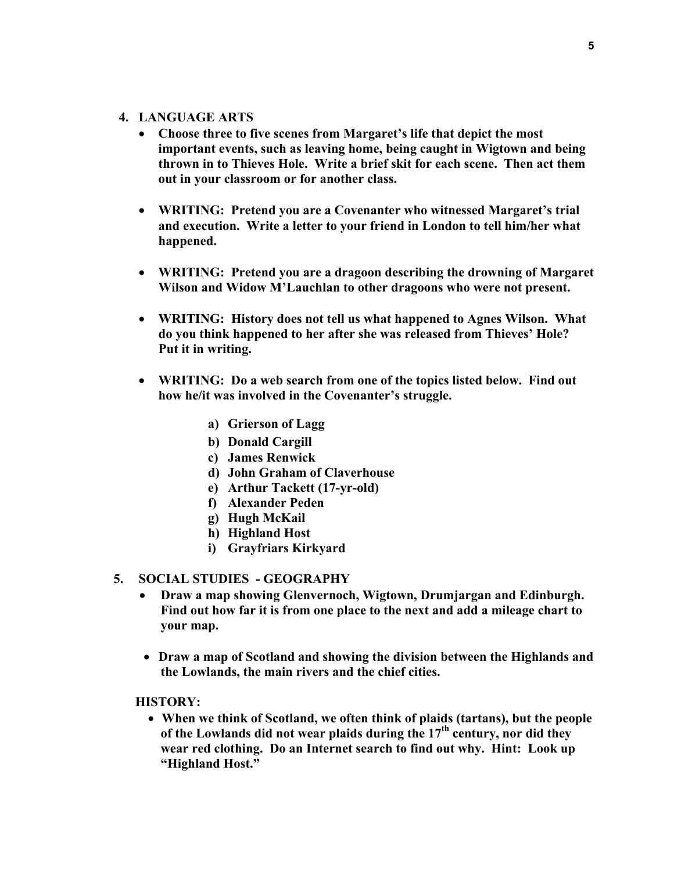#### **4. LANGUAGE ARTS**

- **Choose three to five scenes from Margaret's life that depict the most important events, such as leaving home, being caught in Wigtown and being thrown in to Thieves Hole. Write a brief skit for each scene. Then act them out in your classroom or for another class.**
- **WRITING: Pretend you are a Covenanter who witnessed Margaret's trial and execution. Write a letter to your friend in London to tell him/her what happened.**
- **WRITING: Pretend you are a dragoon describing the drowning of Margaret Wilson and Widow M'Lauchlan to other dragoons who were not present.**
- **WRITING: History does not tell us what happened to Agnes Wilson. What do you think happened to her after she was released from Thieves' Hole? Put it in writing.**
- **WRITING: Do a web search from one of the topics listed below. Find out how he/it was involved in the Covenanter's struggle.** 
	- **a) Grierson of Lagg**
	- **b) Donald Cargill**
	- **c) James Renwick**
	- **d) John Graham of Claverhouse**
	- **e) Arthur Tackett (17-yr-old)**
	- **f) Alexander Peden**
	- **g) Hugh McKail**
	- **h) Highland Host**
	- **i) Grayfriars Kirkyard**

#### **5. SOCIAL STUDIES - GEOGRAPHY**

- **Draw a map showing Glenvernoch, Wigtown, Drumjargan and Edinburgh. Find out how far it is from one place to the next and add a mileage chart to your map.**
- **Draw a map of Scotland and showing the division between the Highlands and the Lowlands, the main rivers and the chief cities.**

 **HISTORY:** 

• **When we think of Scotland, we often think of plaids (tartans), but the people of the Lowlands did not wear plaids during the 17th century, nor did they wear red clothing. Do an Internet search to find out why. Hint: Look up "Highland Host."**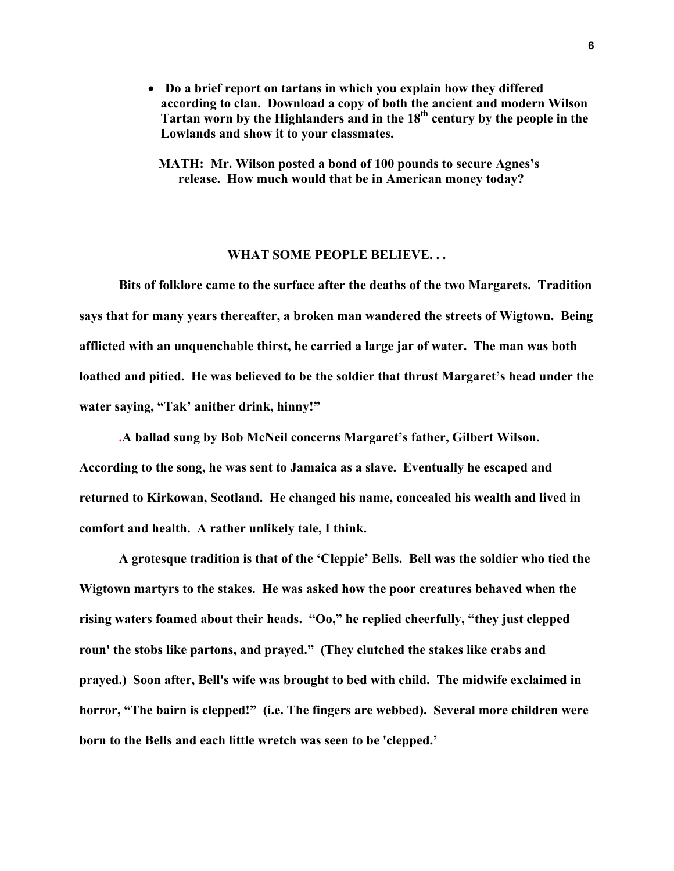- • **Do a brief report on tartans in which you explain how they differed according to clan. Download a copy of both the ancient and modern Wilson Tartan worn by the Highlanders and in the 18th century by the people in the Lowlands and show it to your classmates.** 
	- **MATH: Mr. Wilson posted a bond of 100 pounds to secure Agnes's release. How much would that be in American money today?**

#### **WHAT SOME PEOPLE BELIEVE. . .**

**Bits of folklore came to the surface after the deaths of the two Margarets. Tradition says that for many years thereafter, a broken man wandered the streets of Wigtown. Being afflicted with an unquenchable thirst, he carried a large jar of water. The man was both loathed and pitied. He was believed to be the soldier that thrust Margaret's head under the water saying, "Tak' anither drink, hinny!"** 

**.A ballad sung by Bob McNeil concerns Margaret's father, Gilbert Wilson. According to the song, he was sent to Jamaica as a slave. Eventually he escaped and returned to Kirkowan, Scotland. He changed his name, concealed his wealth and lived in comfort and health. A rather unlikely tale, I think.** 

 **A grotesque tradition is that of the 'Cleppie' Bells. Bell was the soldier who tied the Wigtown martyrs to the stakes. He was asked how the poor creatures behaved when the rising waters foamed about their heads. "Oo," he replied cheerfully, "they just clepped roun' the stobs like partons, and prayed." (They clutched the stakes like crabs and prayed.) Soon after, Bell's wife was brought to bed with child. The midwife exclaimed in horror, "The bairn is clepped!" (i.e. The fingers are webbed). Several more children were born to the Bells and each little wretch was seen to be 'clepped.'**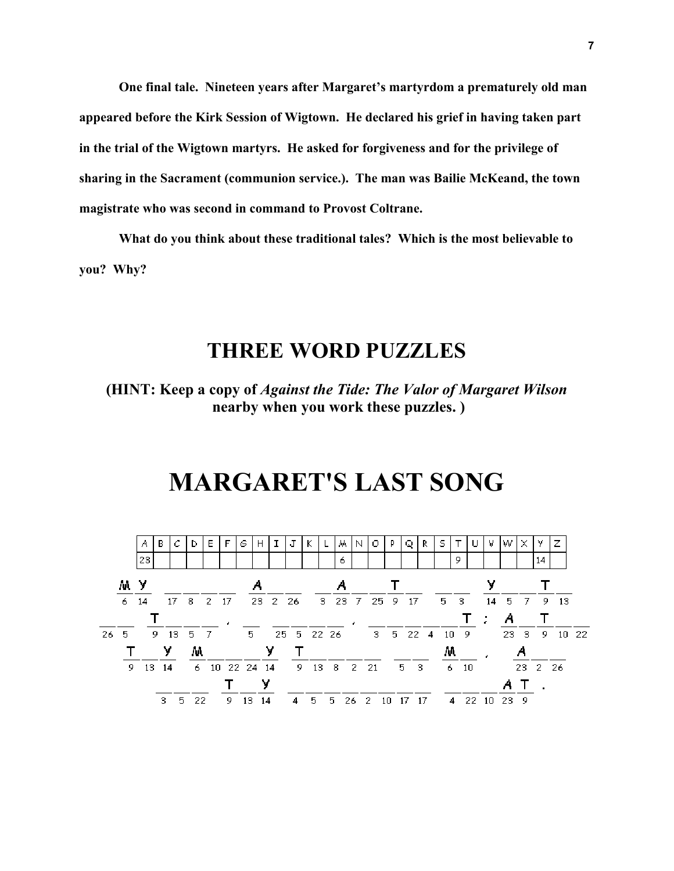**One final tale. Nineteen years after Margaret's martyrdom a prematurely old man appeared before the Kirk Session of Wigtown. He declared his grief in having taken part in the trial of the Wigtown martyrs. He asked for forgiveness and for the privilege of sharing in the Sacrament (communion service.). The man was Bailie McKeand, the town magistrate who was second in command to Provost Coltrane.** 

 **What do you think about these traditional tales? Which is the most believable to you? Why?** 

### **THREE WORD PUZZLES**

**(HINT: Keep a copy of** *Against the Tide: The Valor of Margaret Wilson*   **nearby when you work these puzzles. )** 

### **MARGARET'S LAST SONG**

|             |    | А    | в     |           | D   | E. | F             | G  | н  |  | J          |        |    | м. | N    | . O           | p | Q              |                           | s  |                            | v             | w.                   | ×   | У       |      |       |
|-------------|----|------|-------|-----------|-----|----|---------------|----|----|--|------------|--------|----|----|------|---------------|---|----------------|---------------------------|----|----------------------------|---------------|----------------------|-----|---------|------|-------|
|             |    | 23   |       |           |     |    |               |    |    |  |            |        |    | 6  |      |               |   |                |                           |    | 9                          |               |                      |     | 14      |      |       |
|             | мy |      |       |           |     |    |               |    |    |  |            |        |    |    |      |               |   |                |                           |    |                            | v             |                      |     |         |      |       |
|             | 6. | - 14 |       | 17        | -8  |    | 2 17          |    |    |  | 23 2 26    |        |    |    |      | 3 23 7 25 9   |   | -17            |                           | 5. | $\overline{\phantom{a}}$ 3 |               | $14 \quad 5 \quad 7$ |     | -9.     | - 13 |       |
|             |    |      |       |           |     |    |               |    |    |  |            |        |    |    |      |               |   |                |                           |    |                            | $\mathcal{L}$ | Α                    |     |         |      |       |
| $26\quad 5$ |    |      |       | 9 13 5 7  |     |    |               | 5. |    |  | 25 5 22 26 |        |    |    |      |               |   |                | $3\quad 5\quad 22\quad 4$ |    | 10 9                       |               |                      | 233 | -9      |      | 10 22 |
|             |    | У    |       |           | M   |    |               |    | ۷  |  |            |        |    |    |      |               |   |                | м                         |    |                            |               |                      |     |         |      |       |
|             | 9. |      | 13 14 |           |     |    | 6 10 22 24 14 |    |    |  |            | 9 13 8 |    |    | 2 21 |               |   | 5 <sub>3</sub> |                           | 6. | - 10                       |               |                      |     | 23 2 26 |      |       |
|             |    |      |       |           |     |    |               |    | v  |  |            |        |    |    |      |               |   |                |                           |    |                            |               |                      |     |         |      |       |
|             |    |      |       | з.<br>- 5 | -22 |    | 9.            | 13 | 14 |  | 4          | - 5    | 5. |    |      | 26 2 10 17 17 |   |                |                           | 4  |                            | 22 10 23 9    |                      |     |         |      |       |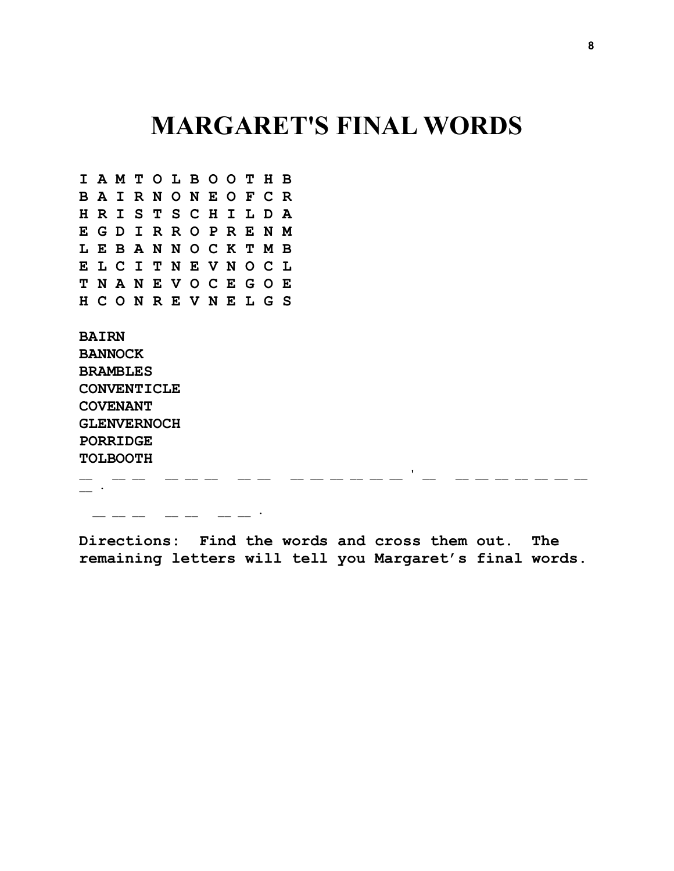## **MARGARET'S FINAL WORDS**

**I A M T O L B O O T H B B A I R N O N E O F C R H R I S T S C H I L D A E G D I R R O P R E N M L E B A N N O C K T M B E L C I T N E V N O C L T N A N E V O C E G O E H C O N R E V N E L G S** 

**BAIRN BANNOCK BRAMBLES CONVENTICLE COVENANT GLENVERNOCH PORRIDGE TOLBOOTH** 

 $\mathcal{L}_\mathcal{L} = \mathcal{L}_\mathcal{L} = \mathcal{L}_\mathcal{L} = \mathcal{L}_\mathcal{L} = \mathcal{L}_\mathcal{L} = \mathcal{L}_\mathcal{L} = \mathcal{L}_\mathcal{L} = \mathcal{L}_\mathcal{L} = \mathcal{L}_\mathcal{L} = \mathcal{L}_\mathcal{L} = \mathcal{L}_\mathcal{L} = \mathcal{L}_\mathcal{L} = \mathcal{L}_\mathcal{L} = \mathcal{L}_\mathcal{L} = \mathcal{L}_\mathcal{L} = \mathcal{L}_\mathcal{L} = \mathcal{L}_\mathcal{L}$  $\sim$ 

 $\overline{\phantom{a}}$   $\overline{\phantom{a}}$   $\overline{\phantom{a}}$   $\overline{\phantom{a}}$   $\overline{\phantom{a}}$  .  $\overline{\phantom{a}}$  ,  $\overline{\phantom{a}}$  ,  $\overline{\phantom{a}}$  ,  $\overline{\phantom{a}}$  ,  $\overline{\phantom{a}}$  ,  $\overline{\phantom{a}}$  ,  $\overline{\phantom{a}}$  ,  $\overline{\phantom{a}}$  ,  $\overline{\phantom{a}}$  ,  $\overline{\phantom{a}}$  ,  $\overline{\phantom{a}}$  ,  $\overline{\$ 

**Directions: Find the words and cross them out. The remaining letters will tell you Margaret's final words.**